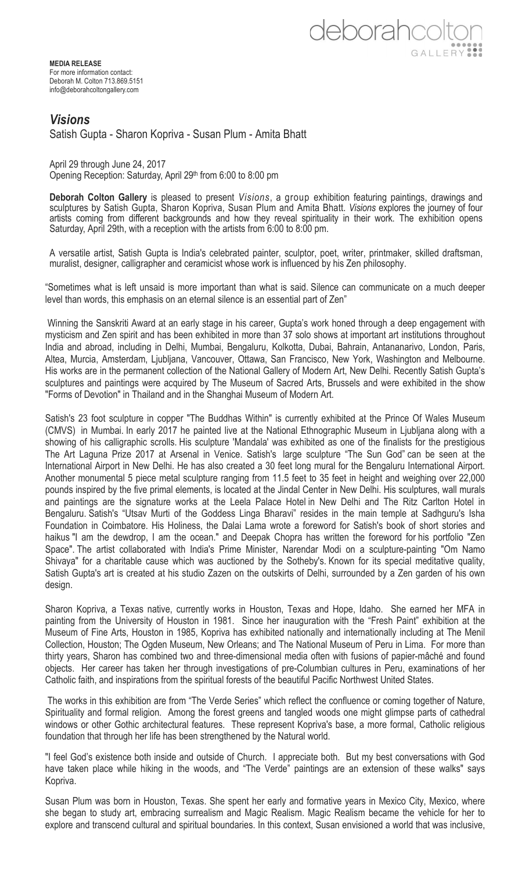deborahcolt GALLERY

**MEDIA RELEASE** For more information contact: Deborah M. Colton 713.869.5151 info@deborahcoltongallery.com

## *Visions*

Satish Gupta - Sharon Kopriva - Susan Plum - Amita Bhatt

April 29 through June 24, 2017 Opening Reception: Saturday, April 29th from 6:00 to 8:00 pm

**Deborah Colton Gallery** is pleased to present *Visions*, a group exhibition featuring paintings, drawings and sculptures by Satish Gupta, Sharon Kopriva, Susan Plum and Amita Bhatt. *Visions* explores the journey of four artists coming from different backgrounds and how they reveal spirituality in their work. The exhibition opens Saturday, April 29th, with a reception with the artists from 6:00 to 8:00 pm.

A versatile artist, Satish Gupta is India's celebrated painter, sculptor, poet, writer, printmaker, skilled draftsman, muralist, designer, calligrapher and ceramicist whose work is influenced by his Zen philosophy.

"Sometimes what is left unsaid is more important than what is said. Silence can communicate on a much deeper level than words, this emphasis on an eternal silence is an essential part of Zen"

Winning the Sanskriti Award at an early stage in his career, Gupta's work honed through a deep engagement with mysticism and Zen spirit and has been exhibited in more than 37 solo shows at important art institutions throughout India and abroad, including in Delhi, Mumbai, Bengaluru, Kolkotta, Dubai, Bahrain, Antananarivo, London, Paris, Altea, Murcia, Amsterdam, Ljubljana, Vancouver, Ottawa, San Francisco, New York, Washington and Melbourne. His works are in the permanent collection of the National Gallery of Modern Art, New Delhi. Recently Satish Gupta's sculptures and paintings were acquired by The Museum of Sacred Arts, Brussels and were exhibited in the show "Forms of Devotion" in Thailand and in the Shanghai Museum of Modern Art.

Satish's 23 foot sculpture in copper "The Buddhas Within" is currently exhibited at the Prince Of Wales Museum (CMVS) in Mumbai. In early 2017 he painted live at the National Ethnographic Museum in Ljubljana along with a showing of his calligraphic scrolls. His sculpture 'Mandala' was exhibited as one of the finalists for the prestigious The Art Laguna Prize 2017 at Arsenal in Venice. Satish's large sculpture "The Sun God" can be seen at the International Airport in New Delhi. He has also created a 30 feet long mural for the Bengaluru International Airport. Another monumental 5 piece metal sculpture ranging from 11.5 feet to 35 feet in height and weighing over 22,000 pounds inspired by the five primal elements, is located at the Jindal Center in New Delhi. His sculptures, wall murals and paintings are the signature works at the Leela Palace Hotel in New Delhi and The Ritz Carlton Hotel in Bengaluru. Satish's "Utsav Murti of the Goddess Linga Bharavi" resides in the main temple at Sadhguru's Isha Foundation in Coimbatore. His Holiness, the Dalai Lama wrote a foreword for Satish's book of short stories and haikus "I am the dewdrop, I am the ocean." and Deepak Chopra has written the foreword for his portfolio "Zen Space". The artist collaborated with India's Prime Minister, Narendar Modi on a sculpture-painting "Om Namo Shivaya" for a charitable cause which was auctioned by the Sotheby's. Known for its special meditative quality, Satish Gupta's art is created at his studio Zazen on the outskirts of Delhi, surrounded by a Zen garden of his own design.

Sharon Kopriva, a Texas native, currently works in Houston, Texas and Hope, Idaho. She earned her MFA in painting from the University of Houston in 1981. Since her inauguration with the "Fresh Paint" exhibition at the Museum of Fine Arts, Houston in 1985, Kopriva has exhibited nationally and internationally including at The Menil Collection, Houston; The Ogden Museum, New Orleans; and The National Museum of Peru in Lima. For more than thirty years, Sharon has combined two and three-dimensional media often with fusions of papier-mâché and found objects. Her career has taken her through investigations of pre-Columbian cultures in Peru, examinations of her Catholic faith, and inspirations from the spiritual forests of the beautiful Pacific Northwest United States.

The works in this exhibition are from "The Verde Series" which reflect the confluence or coming together of Nature, Spirituality and formal religion. Among the forest greens and tangled woods one might glimpse parts of cathedral windows or other Gothic architectural features. These represent Kopriva's base, a more formal, Catholic religious foundation that through her life has been strengthened by the Natural world.

"I feel God's existence both inside and outside of Church. I appreciate both. But my best conversations with God have taken place while hiking in the woods, and "The Verde" paintings are an extension of these walks" says Kopriva.

Susan Plum was born in Houston, Texas. She spent her early and formative years in Mexico City, Mexico, where she began to study art, embracing surrealism and Magic Realism. Magic Realism became the vehicle for her to explore and transcend cultural and spiritual boundaries. In this context, Susan envisioned a world that was inclusive,